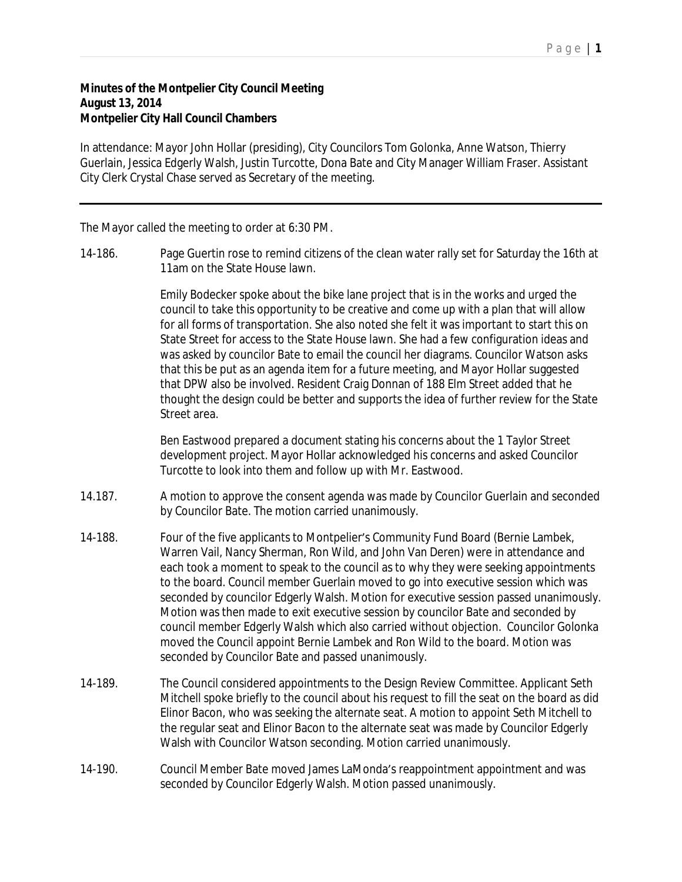## **Minutes of the Montpelier City Council Meeting August 13, 2014 Montpelier City Hall Council Chambers**

In attendance: Mayor John Hollar (presiding), City Councilors Tom Golonka, Anne Watson, Thierry Guerlain, Jessica Edgerly Walsh, Justin Turcotte, Dona Bate and City Manager William Fraser. Assistant City Clerk Crystal Chase served as Secretary of the meeting.

The Mayor called the meeting to order at 6:30 PM.

14-186. Page Guertin rose to remind citizens of the clean water rally set for Saturday the 16th at 11am on the State House lawn.

> Emily Bodecker spoke about the bike lane project that is in the works and urged the council to take this opportunity to be creative and come up with a plan that will allow for all forms of transportation. She also noted she felt it was important to start this on State Street for access to the State House lawn. She had a few configuration ideas and was asked by councilor Bate to email the council her diagrams. Councilor Watson asks that this be put as an agenda item for a future meeting, and Mayor Hollar suggested that DPW also be involved. Resident Craig Donnan of 188 Elm Street added that he thought the design could be better and supports the idea of further review for the State Street area.

Ben Eastwood prepared a document stating his concerns about the 1 Taylor Street development project. Mayor Hollar acknowledged his concerns and asked Councilor Turcotte to look into them and follow up with Mr. Eastwood.

- 14.187. A motion to approve the consent agenda was made by Councilor Guerlain and seconded by Councilor Bate. The motion carried unanimously.
- 14-188. Four of the five applicants to Montpelier's Community Fund Board (Bernie Lambek, Warren Vail, Nancy Sherman, Ron Wild, and John Van Deren) were in attendance and each took a moment to speak to the council as to why they were seeking appointments to the board. Council member Guerlain moved to go into executive session which was seconded by councilor Edgerly Walsh. Motion for executive session passed unanimously. Motion was then made to exit executive session by councilor Bate and seconded by council member Edgerly Walsh which also carried without objection. Councilor Golonka moved the Council appoint Bernie Lambek and Ron Wild to the board. Motion was seconded by Councilor Bate and passed unanimously.
- 14-189. The Council considered appointments to the Design Review Committee. Applicant Seth Mitchell spoke briefly to the council about his request to fill the seat on the board as did Elinor Bacon, who was seeking the alternate seat. A motion to appoint Seth Mitchell to the regular seat and Elinor Bacon to the alternate seat was made by Councilor Edgerly Walsh with Councilor Watson seconding. Motion carried unanimously.
- 14-190. Council Member Bate moved James LaMonda's reappointment appointment and was seconded by Councilor Edgerly Walsh. Motion passed unanimously.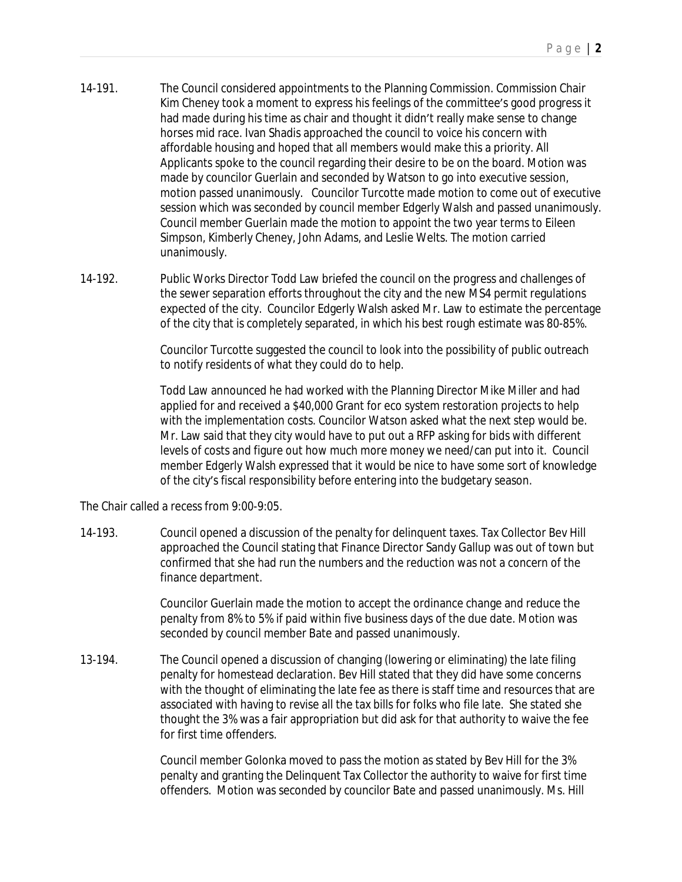- 14-191. The Council considered appointments to the Planning Commission. Commission Chair Kim Cheney took a moment to express his feelings of the committee's good progress it had made during his time as chair and thought it didn't really make sense to change horses mid race. Ivan Shadis approached the council to voice his concern with affordable housing and hoped that all members would make this a priority. All Applicants spoke to the council regarding their desire to be on the board. Motion was made by councilor Guerlain and seconded by Watson to go into executive session, motion passed unanimously. Councilor Turcotte made motion to come out of executive session which was seconded by council member Edgerly Walsh and passed unanimously. Council member Guerlain made the motion to appoint the two year terms to Eileen Simpson, Kimberly Cheney, John Adams, and Leslie Welts. The motion carried unanimously.
- 14-192. Public Works Director Todd Law briefed the council on the progress and challenges of the sewer separation efforts throughout the city and the new MS4 permit regulations expected of the city. Councilor Edgerly Walsh asked Mr. Law to estimate the percentage of the city that is completely separated, in which his best rough estimate was 80-85%.

Councilor Turcotte suggested the council to look into the possibility of public outreach to notify residents of what they could do to help.

Todd Law announced he had worked with the Planning Director Mike Miller and had applied for and received a \$40,000 Grant for eco system restoration projects to help with the implementation costs. Councilor Watson asked what the next step would be. Mr. Law said that they city would have to put out a RFP asking for bids with different levels of costs and figure out how much more money we need/can put into it. Council member Edgerly Walsh expressed that it would be nice to have some sort of knowledge of the city's fiscal responsibility before entering into the budgetary season.

The Chair called a recess from 9:00-9:05.

14-193. Council opened a discussion of the penalty for delinquent taxes. Tax Collector Bev Hill approached the Council stating that Finance Director Sandy Gallup was out of town but confirmed that she had run the numbers and the reduction was not a concern of the finance department.

> Councilor Guerlain made the motion to accept the ordinance change and reduce the penalty from 8% to 5% if paid within five business days of the due date. Motion was seconded by council member Bate and passed unanimously.

13-194. The Council opened a discussion of changing (lowering or eliminating) the late filing penalty for homestead declaration. Bev Hill stated that they did have some concerns with the thought of eliminating the late fee as there is staff time and resources that are associated with having to revise all the tax bills for folks who file late. She stated she thought the 3% was a fair appropriation but did ask for that authority to waive the fee for first time offenders.

> Council member Golonka moved to pass the motion as stated by Bev Hill for the 3% penalty and granting the Delinquent Tax Collector the authority to waive for first time offenders. Motion was seconded by councilor Bate and passed unanimously. Ms. Hill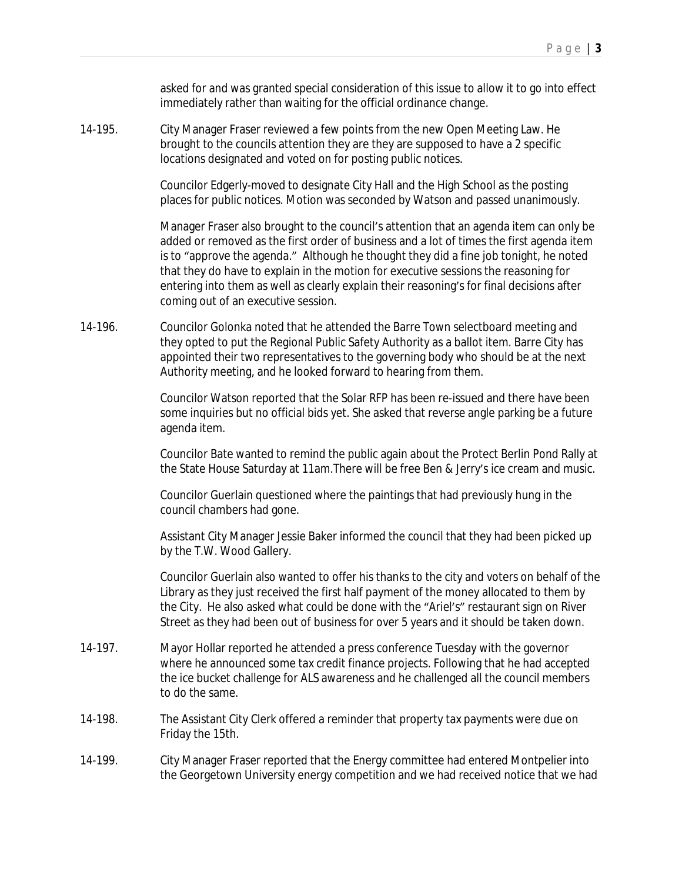asked for and was granted special consideration of this issue to allow it to go into effect immediately rather than waiting for the official ordinance change.

14-195. City Manager Fraser reviewed a few points from the new Open Meeting Law. He brought to the councils attention they are they are supposed to have a 2 specific locations designated and voted on for posting public notices.

> Councilor Edgerly-moved to designate City Hall and the High School as the posting places for public notices. Motion was seconded by Watson and passed unanimously.

Manager Fraser also brought to the council's attention that an agenda item can only be added or removed as the first order of business and a lot of times the first agenda item is to "approve the agenda." Although he thought they did a fine job tonight, he noted that they do have to explain in the motion for executive sessions the reasoning for entering into them as well as clearly explain their reasoning's for final decisions after coming out of an executive session.

14-196. Councilor Golonka noted that he attended the Barre Town selectboard meeting and they opted to put the Regional Public Safety Authority as a ballot item. Barre City has appointed their two representatives to the governing body who should be at the next Authority meeting, and he looked forward to hearing from them.

> Councilor Watson reported that the Solar RFP has been re-issued and there have been some inquiries but no official bids yet. She asked that reverse angle parking be a future agenda item.

> Councilor Bate wanted to remind the public again about the Protect Berlin Pond Rally at the State House Saturday at 11am.There will be free Ben & Jerry's ice cream and music.

Councilor Guerlain questioned where the paintings that had previously hung in the council chambers had gone.

Assistant City Manager Jessie Baker informed the council that they had been picked up by the T.W. Wood Gallery.

Councilor Guerlain also wanted to offer his thanks to the city and voters on behalf of the Library as they just received the first half payment of the money allocated to them by the City. He also asked what could be done with the "Ariel's" restaurant sign on River Street as they had been out of business for over 5 years and it should be taken down.

- 14-197. Mayor Hollar reported he attended a press conference Tuesday with the governor where he announced some tax credit finance projects. Following that he had accepted the ice bucket challenge for ALS awareness and he challenged all the council members to do the same.
- 14-198. The Assistant City Clerk offered a reminder that property tax payments were due on Friday the 15th.
- 14-199. City Manager Fraser reported that the Energy committee had entered Montpelier into the Georgetown University energy competition and we had received notice that we had